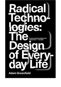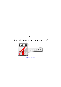*Adam Greenfield*

## **Radical Technologies: The Design of Everyday Life**

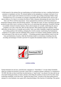A field manual to the systems that are transforming our livesEverywhere we turn, a startling fresh device promises to transfigure our lives. We already depend on the smartphone to navigate every part of our existence. In this urgent and revelatory excavation of our Info Age, leading technology thinker Adam Greenfield forces us to reconsider our romantic relationship with the networked items, services and spaces define us. It is time to re-evaluate the Silicon Valley consensus determining the near future. But at what cost? We're told that innovations—from augmented-fact interfaces and virtual assistants to autonomous delivery drones and self-driving vehicles—will make life easier, far more convenient and more productive.and offers ways to reclaim our stake later on. In answering these questions, Greenfield' Having successfully colonized everyday existence, these radical systems are actually conditioning the choices available to us in the a long time. How do they function? Who benefits from their adoption? What difficulties do they show us, as people and societies? And, even while, fiendishly complicated algorithms are working quietly in the backdrop, reshaping the overall economy, transforming the fundamental conditions of our politics and also redefining what it means to be human.s timely guideline clarifies the level and nature of the crisis we now confront — 3D printing promises unprecedented control over the form and distribution of matter, while the blockchain stands to revolutionize everything from the recording and exchange of worth to just how we organize the mundane realities of your day to day.



[continue reading](http://bit.ly/2Tge8Fv)

Techno-humanist tour de force, and left-brain companion to "Dark Mirror" I 1st met Adam Greenfield when he accepted an invitation to provide a guest talk at a computer systems conference I co-organized in '09 2009. His talk on what would later become known as "smart towns" was ahead of its time and (in my own mind) firmly placed him as today's urbanist, well within the tradition of Jane Jacobs but with a deep technology sensibility, as his later book "Against the Smart Town" revealed. In his latest publication he emerges as a true humanist, once again with a deep knowledge of the function of technology. The queries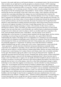he poses to the reader right here go well beyond urbanism, to an existential study of the friction between what we believe we are right here for and the precipitous acceleration towards a 100% technologymediated lifestyle.The essential message of the book is that mediation by extremely complex technology stacks has (at least) four pernicious effects. It erases the "wetware" versions of quotidian actions such as for example hailing a cab or clustering around a Television, which, though mundane, build social capital. The proven fact that the technology itself could possibly be "chaotic neutral" is hardly ever really resolved.The structure and attitude of this book is what sets it aside.g. And if therefore, did they really conclude that a upcoming embodying those dangers was one worth pursuing?And it removes the assumption of an underlying shared reality, in a dark, Gibsonian-dystopia sort of way. (It really is in these lines of argument that Greenfield's intellectual heritage as an urbanist comes through most obviously. Yet we generally have no idea whose values or factors underlie the distinctions between the choices presented for you and those shown to me.Socioeconomically, this means (for instance) that Google Real estate defaults to using OpenTable for making restaurant reservations, which diverts money from the restaurant to the service yet appears frictionless to the buyer; Google Maps presents Uber as a frictionless transportation option alongside generating or transit, to the exclusion of other choices; and so on, showing how attention, culture, and dollars are subtly steered in particular directions, for ends usually opaque to the very users they state to serve.Politically, one could not hand an authoritarian government an improved tool to divide and control its subjects..And for an excellent right-brain companion to the book, watch the British Television series "Dark Mirror". that this solution can be arrived at algorithmically, via the functions of a technical system furnished with the proper inputs; and that solution is something can end up being encoded in public areas policy, once again without distortion. Understanding the realities of the things that we are dependent on is constantly an eye opener.Rapidlyused and soon-to-be-ubiquitous technologies seem to fall into two categories: those that are ostensibly well-intentioned but whose use used falls ludicrously brief of their primary aims, and those that are banal but potentially dangerous if "weaponized" by immoral actors (with which history is definitely replete).Greenfield wraps up with a caution and a call to action. Cryptocurrencies, or more specifically "smart agreements" and their derivatives Distributed Autonomous Institutions (essentially virtual corporations run completely by algorithm), obscure rather than clarify their networks of ownership and power and can be found in a vacuum oblivious to human being foibles. Robotics are being created apace in Japan never to assist humans, but to replace them in such human-centric roles as treatment assistants for the aged. This should be right up the author's road, but he gets distracted by the "stupidity" of everybody associated with the DAO hack. In every, Greenfield asks, did the creators of these technologies think through the dangers connected with developing and deploying them?) whose functions may be benign or also banal when they 1st appear, but can rapidly and almost invisibly be placed to make use of to subvert our person or societal goals, and even to move those goalposts.The lament of the book is that it generally does not have to be in this manner.) And all too often when technologists attempt to deploy technology to serve rather than supplant social interaction, it has the aftereffect of using technology to "paper over" social inequities and friction instead of wanting to eliminate them. The patterns of smartphone use (to mention just decreasing technological manifestation of Greenfield's problems) are just the opposite: receiving the notification of a note or a call tends to cause an immediate cultural disruption, and the concept of shared public existence suffers as a result. You and I discover different features on Google Maps, receive different prices and recommendations from Amazon, are shown different news headlines, and even though we may become occupying the same space simultaneously, we're each simultaneously in two different "someplace elses". "Sensitive technical deployments" of technology are a lot more than possible, such as an app that uses facial recognition and Search on the internet to softly remind those folks with bad recollections of a colleague's name at a cultural function, smoothing out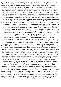cultural friction rather than creating social isolation. Therefore digital fabrication, once conceived in an effort to end scarcity, becomes a narrow channel for folks to obtain issues the marketplace cannot provide, because they are either bespoke or unlawful. The warning can be that we should assess a technology not based on what it was intended to do, however noble, but only on the basis of what it is observed to do used, and how quickly it really is rechanneled to entrench existing power structures to the detriment of you and me. (Or in the words of cyberneticist Stafford Beer, "[the] purpose of something is what it does.") The decision to action takes the proper execution of presenting four visions of possible technology-mediated futures, the extremes of which are not as well dissimilar from those sketched in the unrelated novella "Manna", as a proactive approach to the reader: "...people with remaining politics of any stripe absolutely cannot allow their eye to glaze more than when the topic of conversation turns to technology, or in any way cede this terrain to its existing inhabitants, for to take action is to surrender the commanding heights of the modern situation."Although occasionally the author's tone of voice crosses over in to the overtly polemical, the book as a whole can be an informed tour de force that needs to be required reading not merely for anyone functioning at the technological frontier, but also for anyone who would like to understand the opportunities we are potentially leaving on the table by allowing the sociable infiltration of those technologies to develop untrammeled. Indeed the "clever metropolitan areas" and "Internet of issues" credo appears to be that there is "only one common and transcendently correct option to each identified specific or collective human want; Thought provoking I had recently been rethinking a few of the dependencies of my entire life, technologically anyway. It litters the socio-technical landscape with technological ingredients (in the form of code libraries, e. It conveys the core concepts of every technology, the vision of its proponents, social and political implications, and also the ways it might either fail to catch on, or the ways it might go wrong. Without strictly becoming for or against any particular technology or advancement, it offers us the tools for making our own assessments, for measuring these tendencies against our very own values, expectations, and fears. It's very much of the Trump era: people are either intelligent and good (and on the left, in this particular case) or dumb and evil (and on the right). This cannot be solved by thermodynamics because it relies on social (not statistical) inequality. Self-Limited Technically, this book is very good - in places the emphasis seems just a little off, suggesting that the author's understanding isn't quite right, yet I didn't notice an individual major blooper. It gives a useful, critical assessment of many (no biotech for reasons uknown) upcoming tehcnologies. Nevertheless the author raises some reputable questions and worries about where our latest technologies are taking us. I came across this book tough to read. This is clarified in the ultimate chapter which exorts those on "the left" to be more associated with new tech.Maybe this explains some of the presentation, which is a little tribal.I think about this to be a critical book for anyone who wants to better understand a few of the key technological tendencies of our time, their impacts, and methods we may still be able to shape more positive outcomes. Devices that do weird, sometimes amazing, often dumb items, exactly like their creators. For instance, the way a blockchain relies on marketplace forces (greed) to provide distributed security is usually a neat twist that raises queries about how exactly it can be used in other applications. It's an excellent contrast to the hype-driven content (both hopelessly optimistic and pessimistically dystopian) you often discover about these topics. Machine learning algorithms that could help predict where and by whom crimes may be committed are rather being deployed in China to encumber citizens with a "karma points" system which will determine access to virtually all social goods and services--eerily similar to the fictitious one in "Nosedive", Season 3 Episode 1 of "Black Mirror". My only stage of minor criticism relates to the book's structure, which is split into chapters that deal with specific technologies one at a time. I found this publication to be both illuminating and terrifying. It's not unusual to see some aspect of a technology being derided when utilized by the proper, then praised when utilized by the still left. It further divides haves from have-nots.And that's a pity, since when we get to the debate on artificial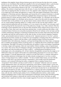intelligence this simplistic binary division between great and evil obscures the idea that we're creating pictures in our own likeness.This insufficient empathy for the (real and imagined) other is a pity because apart from the lazy caricatures - the author misses some interesting points. And we've managed regardless of the current political disaster in the USA - to be friends with this (with one another) for millenia. The solution to many legal issues with AI (and, of course, the foundation of many more) could come from recognising that they are mirrors of our own, imperfect selves. Important reading for citizens of our digital age Good outline and appraisal of a range of the latest digital technologies, from artificial intelligence to blockchain and more. Importantly, goes beyond the all-to-common boosterism to critically consider the true potential of these technologies, highlight their interpersonal impacts and determine potential issues for citizens and policy makers. Full of wonderful insights. As a developer and an educator Full of wonderful insights. As a developer and an educator, I came across this useful on many amounts. Greenfield takes on the problems of our age that deserve instant, intense reflection and analysis. Where are our current leading technology taking us? I couldn't work out who was the target audience. Tone seemed relatively melancholy and very academic as if it was created to the author's very own peers, and I was just getting half the discussion.For most of the publication, though, I was a little confused. Often the technology creators themselves have no idea how their inventions will be utilized. Privacy may be one of our sacrifices. Sorry, there aren't any warm fuzzy emotions here. A terrific publication that strikes a wellconsidered balance between your real political potential offered by new systems on the one hand, and the countless (institutional, ideological, technological) limitations they encounter when interacting both with one another and with the world around us on the other..In short, we have invited companies, standards bodies, and potentially malicious hackers to intervene in the "innermost precincts of our lives", perilous precisely because those activities are so banal we're not susceptible to worrying about who is observing or intermediating them. A terrific book that strikes a well-considered balance between the genuine . Greenfield writes with enthusiasm, eloquence, and huge knowledgeability about these topics, in language that is available and engaging without sacrificing nuance or complexity.The book is divided into chapters by technology. This helps it be harder for the publication all together to build a real feeling of momentum or develop a single solid argument, while also (unavoidably, I believe) yielding a sense of repetitiveness on occasion. Once you're about 20 webpages in though, you'll quickly latch onto Adam Greenfields tone and cadence and value the publication for what it really is - a detailed/nuanced breakdown on core technologies such as the smartphone, IoT, AI that's therefore thoughtfully conveyed that the simple act of deliberately eating each chapter will broaden your understanding and perspective on each one of these game-changers. A critically important book, a guide for our time This book is a a fantastic field guide to the sometimes mysterious technologies that are either already an integral part of our lives or stand a chance of being integral soon, visibly or invisibly." Yet data is hardly without biases, you start with the decision of what data to get and how exactly to taxonomize it, and actually in the best-intentioned instances, can be misused following the reality, as happened when occupying German forces "weaponized" Dutch identity-card data to look for those of "unwanted" ethnicities and races (and the Trump administration aims to do with DACA registrations). Each follows a similar pattern: a good, nontechnical primer, arguments showing the way the right will abuse things (or has recently), a discussion of the way the still left can't quite use this to advantage, and the final outcome that we are all doomed. Just how that he deconstructs our items - going backwards for us. Anyway, this book is normally interesting and thought-provoking. Better than I thought it was going to be Initially I had my doubts with this one - I mean, after all, who could the mark audience be for a bookish publication (told in a rather erudite manner) spotlighting some of today's most transformative technologies and how their inevitable growths and evolutions will continue to drastically the world for better and even worse? But these are small quibbles about a significant book that comes strongly suggested. If you have ever found yourself left out